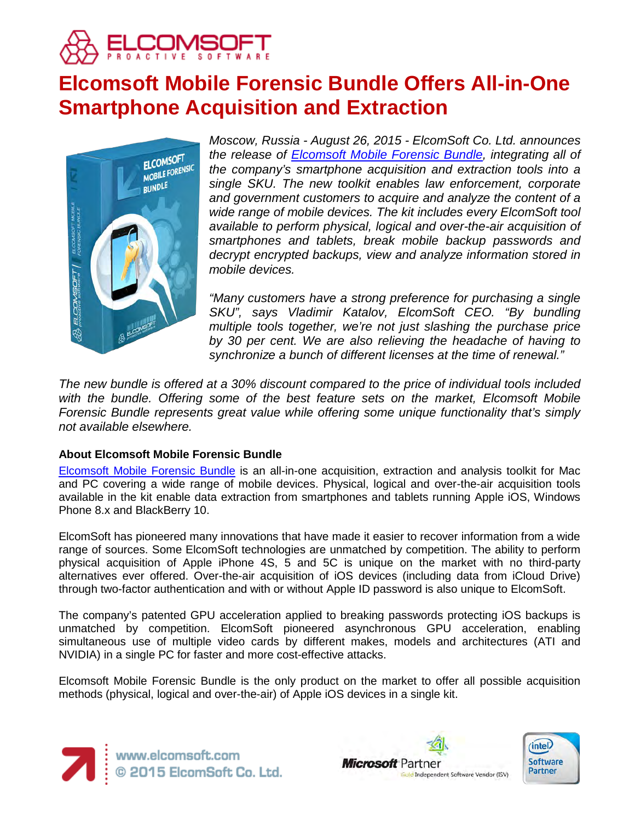

# **Elcomsoft Mobile Forensic Bundle Offers All-in-One Smartphone Acquisition and Extraction**



*Moscow, Russia - August 26, 2015 - ElcomSoft Co. Ltd. announces the release of [Elcomsoft Mobile Forensic Bundle,](https://www.elcomsoft.com/emfb.html) integrating all of the company's smartphone acquisition and extraction tools into a single SKU. The new toolkit enables law enforcement, corporate and government customers to acquire and analyze the content of a wide range of mobile devices. The kit includes every ElcomSoft tool available to perform physical, logical and over-the-air acquisition of smartphones and tablets, break mobile backup passwords and decrypt encrypted backups, view and analyze information stored in mobile devices.* 

*"Many customers have a strong preference for purchasing a single SKU", says Vladimir Katalov, ElcomSoft CEO. "By bundling multiple tools together, we're not just slashing the purchase price by 30 per cent. We are also relieving the headache of having to synchronize a bunch of different licenses at the time of renewal."*

*The new bundle is offered at a 30% discount compared to the price of individual tools included with the bundle. Offering some of the best feature sets on the market, Elcomsoft Mobile Forensic Bundle represents great value while offering some unique functionality that's simply not available elsewhere.*

# **About Elcomsoft Mobile Forensic Bundle**

[Elcomsoft Mobile Forensic Bundle](https://www.elcomsoft.com/emfb.html) is an all-in-one acquisition, extraction and analysis toolkit for Mac and PC covering a wide range of mobile devices. Physical, logical and over-the-air acquisition tools available in the kit enable data extraction from smartphones and tablets running Apple iOS, Windows Phone 8.x and BlackBerry 10.

ElcomSoft has pioneered many innovations that have made it easier to recover information from a wide range of sources. Some ElcomSoft technologies are unmatched by competition. The ability to perform physical acquisition of Apple iPhone 4S, 5 and 5C is unique on the market with no third-party alternatives ever offered. Over-the-air acquisition of iOS devices (including data from iCloud Drive) through two-factor authentication and with or without Apple ID password is also unique to ElcomSoft.

The company's patented GPU acceleration applied to breaking passwords protecting iOS backups is unmatched by competition. ElcomSoft pioneered asynchronous GPU acceleration, enabling simultaneous use of multiple video cards by different makes, models and architectures (ATI and NVIDIA) in a single PC for faster and more cost-effective attacks.

Elcomsoft Mobile Forensic Bundle is the only product on the market to offer all possible acquisition methods (physical, logical and over-the-air) of Apple iOS devices in a single kit.